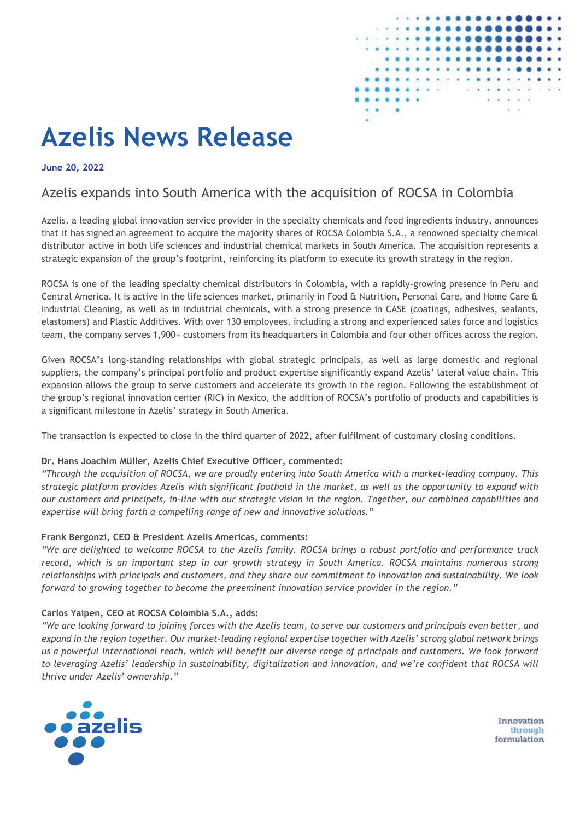

# **Azelis News Release**

**June 20, 2022**

# Azelis expands into South America with the acquisition of ROCSA in Colombia

Azelis, a leading global innovation service provider in the specialty chemicals and food ingredients industry, announces that it has signed an agreement to acquire the majority shares of ROCSA Colombia S.A., a renowned specialty chemical distributor active in both life sciences and industrial chemical markets in South America. The acquisition represents a strategic expansion of the group's footprint, reinforcing its platform to execute its growth strategy in the region.

ROCSA is one of the leading specialty chemical distributors in Colombia, with a rapidly-growing presence in Peru and Central America. It is active in the life sciences market, primarily in Food & Nutrition, Personal Care, and Home Care & Industrial Cleaning, as well as in industrial chemicals, with a strong presence in CASE (coatings, adhesives, sealants, elastomers) and Plastic Additives. With over 130 employees, including a strong and experienced sales force and logistics team, the company serves 1,900+ customers from its headquarters in Colombia and four other offices across the region.

Given ROCSA's long-standing relationships with global strategic principals, as well as large domestic and regional suppliers, the company's principal portfolio and product expertise significantly expand Azelis' lateral value chain. This expansion allows the group to serve customers and accelerate its growth in the region. Following the establishment of the group's regional innovation center (RIC) in Mexico, the addition of ROCSA's portfolio of products and capabilities is a significant milestone in Azelis' strategy in South America.

The transaction is expected to close in the third quarter of 2022, after fulfilment of customary closing conditions.

#### **Dr. Hans Joachim Müller, Azelis Chief Executive Officer, commented:**

*"Through the acquisition of ROCSA, we are proudly entering into South America with a market-leading company. This strategic platform provides Azelis with significant foothold in the market, as well as the opportunity to expand with our customers and principals, in-line with our strategic vision in the region. Together, our combined capabilities and expertise will bring forth a compelling range of new and innovative solutions."*

#### **Frank Bergonzi, CEO & President Azelis Americas, comments:**

*"We are delighted to welcome ROCSA to the Azelis family. ROCSA brings a robust portfolio and performance track record, which is an important step in our growth strategy in South America. ROCSA maintains numerous strong relationships with principals and customers, and they share our commitment to innovation and sustainability. We look forward to growing together to become the preeminent innovation service provider in the region."*

#### **Carlos Yaipen, CEO at ROCSA Colombia S.A., adds:**

*"We are looking forward to joining forces with the Azelis team, to serve our customers and principals even better, and expand in the region together. Our market-leading regional expertise together with Azelis' strong global network brings us a powerful international reach, which will benefit our diverse range of principals and customers. We look forward to leveraging Azelis' leadership in sustainability, digitalization and innovation, and we're confident that ROCSA will thrive under Azelis' ownership."*



Innovation through formulation